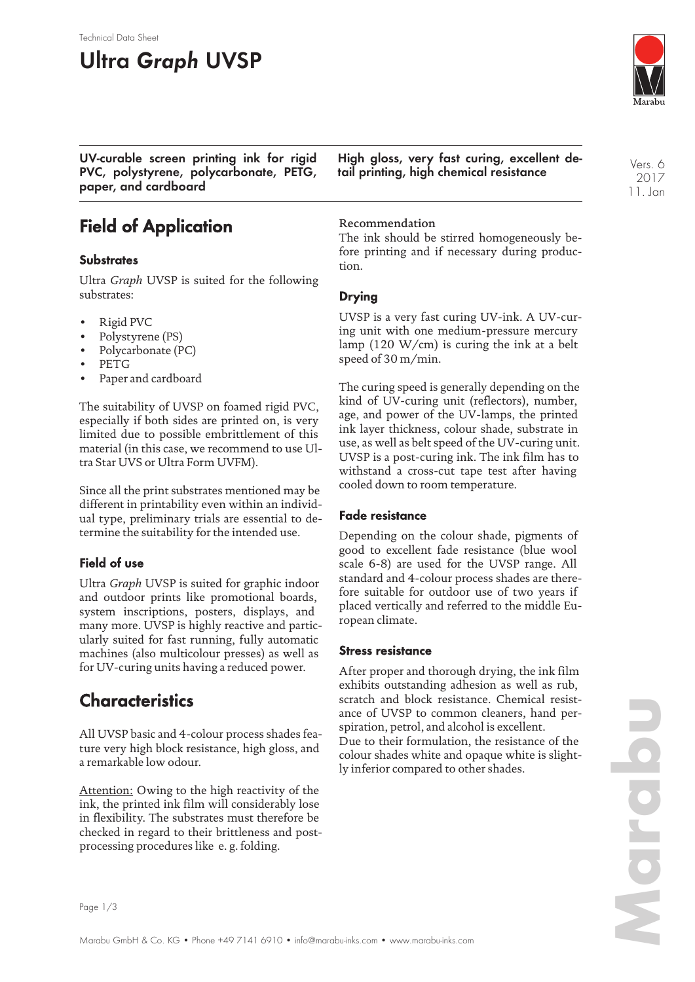#### Technical Data Sheet

# **Ultra Graph UVSP**



**UV-curable screen printing ink for rigid PVC, polystyrene, polycarbonate, PETG, paper, and cardboard**

**High gloss, very fast curing, excellent detail printing, high chemical resistance**

Vers. 6 2017 11. Jan

## **Field of Application**

#### **Substrates**

Ultra *Graph* UVSP is suited for the following substrates:

- Rigid PVC
- Polystyrene (PS)
- Polycarbonate (PC)
- PETG
- Paper and cardboard

The suitability of UVSP on foamed rigid PVC, especially if both sides are printed on, is very limited due to possible embrittlement of this material (in this case, we recommend to use Ultra Star UVS or Ultra Form UVFM).

Since all the print substrates mentioned may be different in printability even within an individual type, preliminary trials are essential to determine the suitability for the intended use.

### **Field of use**

Ultra *Graph* UVSP is suited for graphic indoor and outdoor prints like promotional boards, system inscriptions, posters, displays, and many more. UVSP is highly reactive and particularly suited for fast running, fully automatic machines (also multicolour presses) as well as for UV-curing units having a reduced power.

# **Characteristics**

All UVSP basic and 4-colour process shades feature very high block resistance, high gloss, and a remarkable low odour.

Attention: Owing to the high reactivity of the ink, the printed ink film will considerably lose in flexibility. The substrates must therefore be checked in regard to their brittleness and postprocessing procedures like e. g. folding.

Recommendation

The ink should be stirred homogeneously before printing and if necessary during production.

#### **Drying**

UVSP is a very fast curing UV-ink. A UV-curing unit with one medium-pressure mercury lamp (120 W/cm) is curing the ink at a belt speed of 30 m/min.

The curing speed is generally depending on the kind of UV-curing unit (reflectors), number, age, and power of the UV-lamps, the printed ink layer thickness, colour shade, substrate in use, as well as belt speed of the UV-curing unit. UVSP is a post-curing ink. The ink film has to withstand a cross-cut tape test after having cooled down to room temperature.

#### **Fade resistance**

Depending on the colour shade, pigments of good to excellent fade resistance (blue wool scale 6-8) are used for the UVSP range. All standard and 4-colour process shades are therefore suitable for outdoor use of two years if placed vertically and referred to the middle European climate.

#### **Stress resistance**

After proper and thorough drying, the ink film exhibits outstanding adhesion as well as rub, scratch and block resistance. Chemical resistance of UVSP to common cleaners, hand perspiration, petrol, and alcohol is excellent. Due to their formulation, the resistance of the colour shades white and opaque white is slightly inferior compared to other shades.

Page 1/3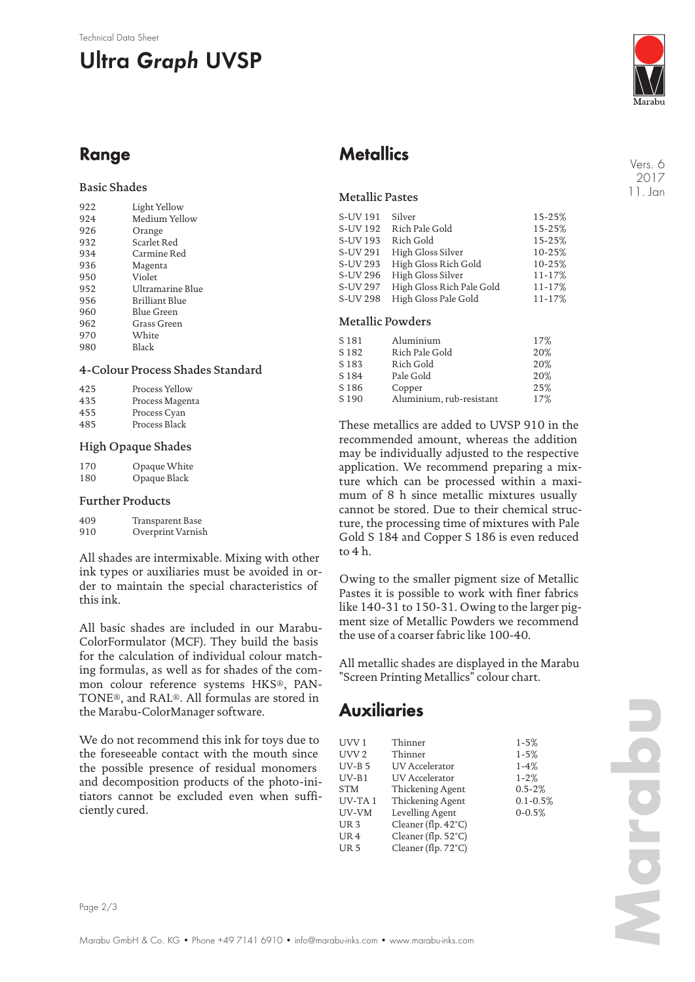#### Technical Data Sheet

# **Ultra Graph UVSP**



Vers. 6 2017 11. Jan

# **Range**

### Basic Shades

| 922 | Light Yellow     |
|-----|------------------|
| 924 | Medium Yellow    |
| 926 | Orange           |
| 932 | Scarlet Red      |
| 934 | Carmine Red      |
| 936 | Magenta          |
| 950 | Violet           |
| 952 | Ultramarine Blue |
| 956 | Brilliant Blue   |
| 960 | Blue Green       |
| 962 | Grass Green      |
| 970 | White            |
| 980 | <b>Black</b>     |
|     |                  |

#### 4-Colour Process Shades Standard

| 425 | Process Yellow  |
|-----|-----------------|
| 435 | Process Magenta |
| 455 | Process Cyan    |
| 485 | Process Black   |

#### High Opaque Shades

| 170 | Opaque White |
|-----|--------------|
| 180 | Opaque Black |

#### Further Products

| 409 | Transparent Base  |
|-----|-------------------|
| 910 | Overprint Varnish |

All shades are intermixable. Mixing with other ink types or auxiliaries must be avoided in order to maintain the special characteristics of this ink.

All basic shades are included in our Marabu-ColorFormulator (MCF). They build the basis for the calculation of individual colour matching formulas, as well as for shades of the common colour reference systems HKS®, PAN-TONE®, and RAL®. All formulas are stored in the Marabu-ColorManager software.

We do not recommend this ink for toys due to the foreseeable contact with the mouth since the possible presence of residual monomers and decomposition products of the photo-initiators cannot be excluded even when sufficiently cured.

# **Metallics**

### Metallic Pastes

| S-UV 191        | Silver                    | 15-25% |
|-----------------|---------------------------|--------|
| S-UV 192        | Rich Pale Gold            | 15-25% |
| S-UV 193        | Rich Gold                 | 15-25% |
| S-UV 291        | High Gloss Silver         | 10-25% |
| S-UV 293        | High Gloss Rich Gold      | 10-25% |
| S-UV 296        | High Gloss Silver         | 11-17% |
| S-UV 297        | High Gloss Rich Pale Gold | 11-17% |
| <b>S-UV 298</b> | High Gloss Pale Gold      | 11-17% |
|                 |                           |        |

### Metallic Powders

| S <sub>181</sub> | Aluminium                | 17% |
|------------------|--------------------------|-----|
|                  |                          |     |
| S <sub>182</sub> | Rich Pale Gold           | 20% |
| S <sub>183</sub> | Rich Gold                | 20% |
| S <sub>184</sub> | Pale Gold                | 20% |
| S <sub>186</sub> | Copper                   | 25% |
| S <sub>190</sub> | Aluminium, rub-resistant | 17% |
|                  |                          |     |

These metallics are added to UVSP 910 in the recommended amount, whereas the addition may be individually adjusted to the respective application. We recommend preparing a mixture which can be processed within a maximum of 8 h since metallic mixtures usually cannot be stored. Due to their chemical structure, the processing time of mixtures with Pale Gold S 184 and Copper S 186 is even reduced to 4 h.

Owing to the smaller pigment size of Metallic Pastes it is possible to work with finer fabrics like 140-31 to 150-31. Owing to the larger pigment size of Metallic Powders we recommend the use of a coarser fabric like 100-40.

All metallic shades are displayed in the Marabu "Screen Printing Metallics" colour chart.

# **Auxiliaries**

| UVV 1            | Thinner                       | $1 - 5%$     |
|------------------|-------------------------------|--------------|
| UVV <sub>2</sub> | Thinner                       | $1 - 5%$     |
| $UV-B5$          | <b>UV</b> Accelerator         | $1-4%$       |
| $UV-B1$          | UV Accelerator                | $1 - 2%$     |
| <b>STM</b>       | Thickening Agent              | $0.5 - 2%$   |
| UV-TA1           | Thickening Agent              | $0.1 - 0.5%$ |
| UV-VM            | Levelling Agent               | $0 - 0.5%$   |
| UR <sub>3</sub>  | Cleaner (flp. 42°C)           |              |
| UR <sub>4</sub>  | Cleaner (flp. $52^{\circ}$ C) |              |
| UR <sub>5</sub>  | Cleaner (flp. 72°C)           |              |

**Marabu**